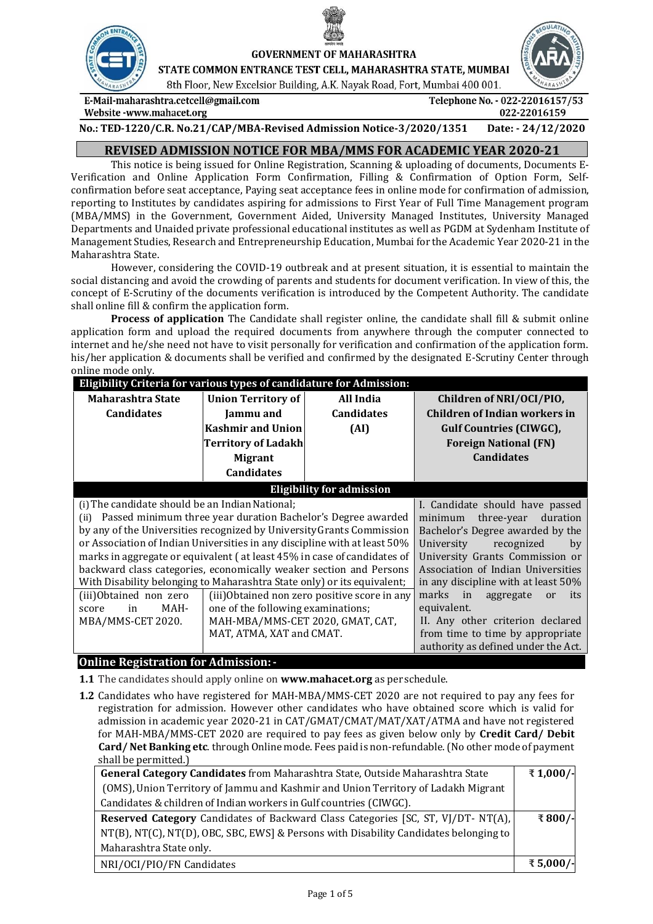

**GOVERNMENT OF MAHARASHTRA** 

STATE COMMON ENTRANCE TEST CELL, MAHARASHTRA STATE, MUMBAI 8th Floor, New Excelsior Building, A.K. Nayak Road, Fort, Mumbai 400 001.

E-Mail-maharashtra.cetcell@gmail.com Website -www.mahacet.org



**No.: TED-1220/C.R. No.21/CAP/MBA-Revised Admission Notice-3/2020/1351 Date: - 24/12/2020**

# **REVISED ADMISSION NOTICE FOR MBA/MMS FOR ACADEMIC YEAR 2020-21**

This notice is being issued for Online Registration, Scanning & uploading of documents, Documents E-Verification and Online Application Form Confirmation, Filling & Confirmation of Option Form, Selfconfirmation before seat acceptance, Paying seat acceptance fees in online mode for confirmation of admission, reporting to Institutes by candidates aspiring for admissions to First Year of Full Time Management program (MBA/MMS) in the Government, Government Aided, University Managed Institutes, University Managed Departments and Unaided private professional educational institutes as well as PGDM at Sydenham Institute of Management Studies, Research and Entrepreneurship Education, Mumbai for the Academic Year 2020-21 in the Maharashtra State.

However, considering the COVID-19 outbreak and at present situation, it is essential to maintain the social distancing and avoid the crowding of parents and students for document verification. In view of this, the concept of E-Scrutiny of the documents verification is introduced by the Competent Authority. The candidate shall online fill & confirm the application form.

**Process of application** The Candidate shall register online, the candidate shall fill & submit online application form and upload the required documents from anywhere through the computer connected to internet and he/she need not have to visit personally for verification and confirmation of the application form. his/her application & documents shall be verified and confirmed by the designated E-Scrutiny Center through online mode only.

| Eligibility Criteria for various types of candidature for Admission:      |                                    |                                              |                                       |  |  |
|---------------------------------------------------------------------------|------------------------------------|----------------------------------------------|---------------------------------------|--|--|
| Maharashtra State                                                         | <b>Union Territory of</b>          | All India                                    | Children of NRI/OCI/PIO,              |  |  |
| <b>Candidates</b>                                                         | Jammu and                          | <b>Candidates</b>                            | <b>Children of Indian workers in</b>  |  |  |
|                                                                           | <b>Kashmir and Union</b>           | (AI)                                         | <b>Gulf Countries (CIWGC),</b>        |  |  |
|                                                                           | <b>Territory of Ladakh</b>         |                                              | <b>Foreign National (FN)</b>          |  |  |
|                                                                           | <b>Migrant</b>                     |                                              | <b>Candidates</b>                     |  |  |
|                                                                           | <b>Candidates</b>                  |                                              |                                       |  |  |
|                                                                           | <b>Eligibility for admission</b>   |                                              |                                       |  |  |
| (i) The candidate should be an Indian National;                           |                                    | I. Candidate should have passed              |                                       |  |  |
| Passed minimum three year duration Bachelor's Degree awarded<br>(ii)      |                                    | three-year<br>duration<br>minimum            |                                       |  |  |
| by any of the Universities recognized by University Grants Commission     |                                    | Bachelor's Degree awarded by the             |                                       |  |  |
| or Association of Indian Universities in any discipline with at least 50% |                                    | University<br>recognized<br>by               |                                       |  |  |
| marks in aggregate or equivalent (at least 45% in case of candidates of   |                                    |                                              | University Grants Commission or       |  |  |
| backward class categories, economically weaker section and Persons        |                                    |                                              | Association of Indian Universities    |  |  |
| With Disability belonging to Maharashtra State only) or its equivalent;   |                                    |                                              | in any discipline with at least 50%   |  |  |
| (iii)Obtained non zero                                                    |                                    | (iii)Obtained non zero positive score in any | marks<br>in<br>aggregate<br>its<br>or |  |  |
| MAH-<br>in<br>score                                                       | one of the following examinations; |                                              | equivalent.                           |  |  |
| MBA/MMS-CET 2020.                                                         | MAH-MBA/MMS-CET 2020, GMAT, CAT,   |                                              | II. Any other criterion declared      |  |  |
|                                                                           | MAT, ATMA, XAT and CMAT.           |                                              | from time to time by appropriate      |  |  |
|                                                                           |                                    |                                              | authority as defined under the Act.   |  |  |

# **Online Registration for Admission:-**

- **1.1** The candidates should apply online on **[www.mahacet.org](http://www.mahacet.org/mba2018)** as per schedule.
- **1.2** Candidates who have registered for MAH-MBA/MMS-CET 2020 are not required to pay any fees for registration for admission. However other candidates who have obtained score which is valid for admission in academic year 2020-21 in CAT/GMAT/CMAT/MAT/XAT/ATMA and have not registered for MAH-MBA/MMS-CET 2020 are required to pay fees as given below only by **Credit Card/ Debit Card/ Net Banking etc**. through Online mode. Fees paid is non-refundable.(No other mode of payment shall be permitted.)

| General Category Candidates from Maharashtra State, Outside Maharashtra State           |          |
|-----------------------------------------------------------------------------------------|----------|
| (OMS), Union Territory of Jammu and Kashmir and Union Territory of Ladakh Migrant       |          |
| Candidates & children of Indian workers in Gulf countries (CIWGC).                      |          |
| <b>Reserved Category Candidates of Backward Class Categories [SC, ST, VJ/DT- NT(A),</b> |          |
| NT(B), NT(C), NT(D), OBC, SBC, EWS] & Persons with Disability Candidates belonging to   |          |
| Maharashtra State only.                                                                 |          |
| NRI/OCI/PIO/FN Candidates                                                               | ₹5,000/- |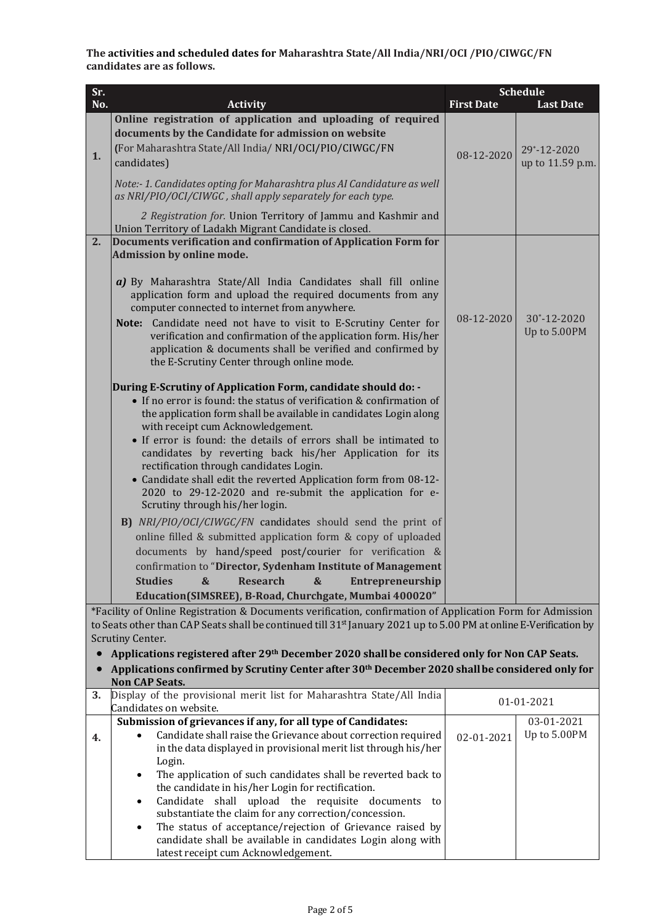**The activities and scheduled dates for Maharashtra State/All India/NRI/OCI /PIO/CIWGC/FN candidates are as follows.**

| Sr.       |                                                                                                                                                                                                                                                                                                                                                                                                                                                                                                                                                                                                                                                                                                                                                                                                                                                                                                                                                                                                                     |                   | <b>Schedule</b>                    |
|-----------|---------------------------------------------------------------------------------------------------------------------------------------------------------------------------------------------------------------------------------------------------------------------------------------------------------------------------------------------------------------------------------------------------------------------------------------------------------------------------------------------------------------------------------------------------------------------------------------------------------------------------------------------------------------------------------------------------------------------------------------------------------------------------------------------------------------------------------------------------------------------------------------------------------------------------------------------------------------------------------------------------------------------|-------------------|------------------------------------|
| No.       | <b>Activity</b>                                                                                                                                                                                                                                                                                                                                                                                                                                                                                                                                                                                                                                                                                                                                                                                                                                                                                                                                                                                                     | <b>First Date</b> | <b>Last Date</b>                   |
| 1.        | Online registration of application and uploading of required<br>documents by the Candidate for admission on website<br>(For Maharashtra State/All India/ NRI/OCI/PIO/CIWGC/FN<br>candidates)                                                                                                                                                                                                                                                                                                                                                                                                                                                                                                                                                                                                                                                                                                                                                                                                                        | 08-12-2020        | 29*-12-2020<br>up to 11.59 p.m.    |
|           | Note:-1. Candidates opting for Maharashtra plus AI Candidature as well<br>as NRI/PIO/OCI/CIWGC, shall apply separately for each type.                                                                                                                                                                                                                                                                                                                                                                                                                                                                                                                                                                                                                                                                                                                                                                                                                                                                               |                   |                                    |
|           | 2 Registration for. Union Territory of Jammu and Kashmir and<br>Union Territory of Ladakh Migrant Candidate is closed.                                                                                                                                                                                                                                                                                                                                                                                                                                                                                                                                                                                                                                                                                                                                                                                                                                                                                              |                   |                                    |
| 2.        | Documents verification and confirmation of Application Form for<br>Admission by online mode.                                                                                                                                                                                                                                                                                                                                                                                                                                                                                                                                                                                                                                                                                                                                                                                                                                                                                                                        |                   |                                    |
|           | a) By Maharashtra State/All India Candidates shall fill online<br>application form and upload the required documents from any<br>computer connected to internet from anywhere.                                                                                                                                                                                                                                                                                                                                                                                                                                                                                                                                                                                                                                                                                                                                                                                                                                      |                   |                                    |
|           | Note: Candidate need not have to visit to E-Scrutiny Center for<br>verification and confirmation of the application form. His/her<br>application & documents shall be verified and confirmed by<br>the E-Scrutiny Center through online mode.                                                                                                                                                                                                                                                                                                                                                                                                                                                                                                                                                                                                                                                                                                                                                                       | 08-12-2020        | $30^* - 12 - 2020$<br>Up to 5.00PM |
|           | During E-Scrutiny of Application Form, candidate should do: -<br>• If no error is found: the status of verification & confirmation of<br>the application form shall be available in candidates Login along<br>with receipt cum Acknowledgement.<br>• If error is found: the details of errors shall be intimated to<br>candidates by reverting back his/her Application for its<br>rectification through candidates Login.<br>• Candidate shall edit the reverted Application form from 08-12-<br>2020 to 29-12-2020 and re-submit the application for e-<br>Scrutiny through his/her login.<br>B) NRI/PIO/OCI/CIWGC/FN candidates should send the print of<br>online filled & submitted application form & copy of uploaded<br>documents by hand/speed post/courier for verification &<br>confirmation to "Director, Sydenham Institute of Management<br><b>Studies</b><br>$\boldsymbol{\&}$<br><b>Research</b><br>$\boldsymbol{\&}$<br>Entrepreneurship<br>Education(SIMSREE), B-Road, Churchgate, Mumbai 400020" |                   |                                    |
|           | *Facility of Online Registration & Documents verification, confirmation of Application Form for Admission                                                                                                                                                                                                                                                                                                                                                                                                                                                                                                                                                                                                                                                                                                                                                                                                                                                                                                           |                   |                                    |
|           | to Seats other than CAP Seats shall be continued till 31 <sup>st</sup> January 2021 up to 5.00 PM at online E-Verification by                                                                                                                                                                                                                                                                                                                                                                                                                                                                                                                                                                                                                                                                                                                                                                                                                                                                                       |                   |                                    |
| $\bullet$ | Scrutiny Center.                                                                                                                                                                                                                                                                                                                                                                                                                                                                                                                                                                                                                                                                                                                                                                                                                                                                                                                                                                                                    |                   |                                    |
| $\bullet$ | Applications registered after 29 <sup>th</sup> December 2020 shall be considered only for Non CAP Seats.<br>Applications confirmed by Scrutiny Center after 30 <sup>th</sup> December 2020 shall be considered only for                                                                                                                                                                                                                                                                                                                                                                                                                                                                                                                                                                                                                                                                                                                                                                                             |                   |                                    |
|           | <b>Non CAP Seats.</b>                                                                                                                                                                                                                                                                                                                                                                                                                                                                                                                                                                                                                                                                                                                                                                                                                                                                                                                                                                                               |                   |                                    |
| 3.        | Display of the provisional merit list for Maharashtra State/All India                                                                                                                                                                                                                                                                                                                                                                                                                                                                                                                                                                                                                                                                                                                                                                                                                                                                                                                                               |                   | 01-01-2021                         |
|           | Candidates on website.                                                                                                                                                                                                                                                                                                                                                                                                                                                                                                                                                                                                                                                                                                                                                                                                                                                                                                                                                                                              |                   |                                    |
| 4.        | Submission of grievances if any, for all type of Candidates:<br>Candidate shall raise the Grievance about correction required<br>in the data displayed in provisional merit list through his/her<br>Login.                                                                                                                                                                                                                                                                                                                                                                                                                                                                                                                                                                                                                                                                                                                                                                                                          | 02-01-2021        | 03-01-2021<br>Up to 5.00PM         |
|           | The application of such candidates shall be reverted back to<br>٠<br>the candidate in his/her Login for rectification.                                                                                                                                                                                                                                                                                                                                                                                                                                                                                                                                                                                                                                                                                                                                                                                                                                                                                              |                   |                                    |
|           | Candidate shall upload the requisite documents<br>to<br>$\bullet$<br>substantiate the claim for any correction/concession.                                                                                                                                                                                                                                                                                                                                                                                                                                                                                                                                                                                                                                                                                                                                                                                                                                                                                          |                   |                                    |
|           | The status of acceptance/rejection of Grievance raised by                                                                                                                                                                                                                                                                                                                                                                                                                                                                                                                                                                                                                                                                                                                                                                                                                                                                                                                                                           |                   |                                    |

candidate shall be available in candidates Login along with

latest receipt cum Acknowledgement.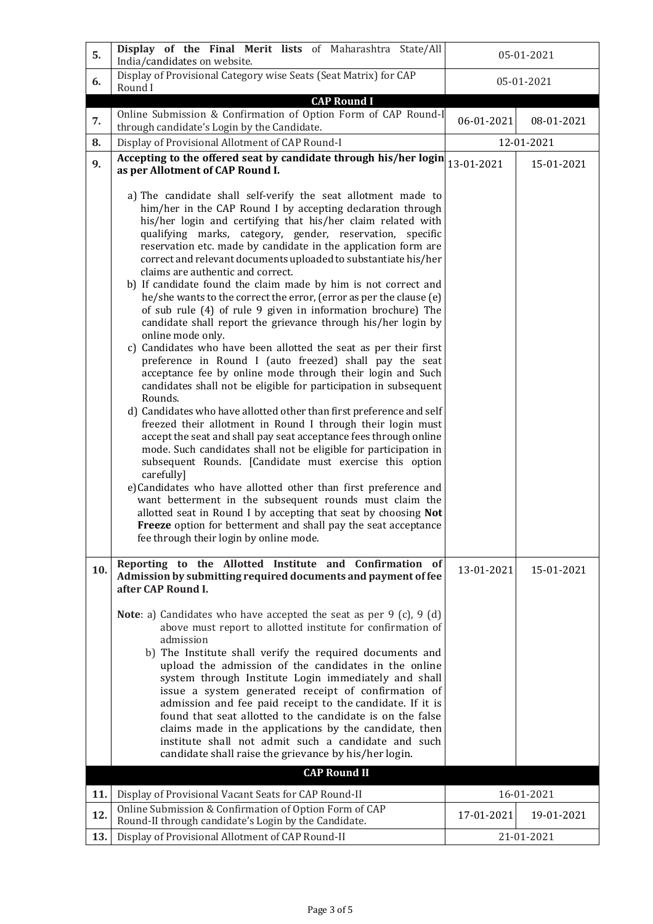| 5.  | Display of the Final Merit lists of Maharashtra State/All<br>India/candidates on website.                                                                                                                                                                                                                                                                                                                                                                                                                                                                                                                                                                                                                                                                                                                                                                                                                                                                                                                                                                                                                                                                                                                                                                                                                                                                                                                                                                                                                                                                                                                                                                                            | 05-01-2021 |            |
|-----|--------------------------------------------------------------------------------------------------------------------------------------------------------------------------------------------------------------------------------------------------------------------------------------------------------------------------------------------------------------------------------------------------------------------------------------------------------------------------------------------------------------------------------------------------------------------------------------------------------------------------------------------------------------------------------------------------------------------------------------------------------------------------------------------------------------------------------------------------------------------------------------------------------------------------------------------------------------------------------------------------------------------------------------------------------------------------------------------------------------------------------------------------------------------------------------------------------------------------------------------------------------------------------------------------------------------------------------------------------------------------------------------------------------------------------------------------------------------------------------------------------------------------------------------------------------------------------------------------------------------------------------------------------------------------------------|------------|------------|
| 6.  | Display of Provisional Category wise Seats (Seat Matrix) for CAP<br>Round I                                                                                                                                                                                                                                                                                                                                                                                                                                                                                                                                                                                                                                                                                                                                                                                                                                                                                                                                                                                                                                                                                                                                                                                                                                                                                                                                                                                                                                                                                                                                                                                                          | 05-01-2021 |            |
|     | <b>CAP Round I</b><br>Online Submission & Confirmation of Option Form of CAP Round-I                                                                                                                                                                                                                                                                                                                                                                                                                                                                                                                                                                                                                                                                                                                                                                                                                                                                                                                                                                                                                                                                                                                                                                                                                                                                                                                                                                                                                                                                                                                                                                                                 |            |            |
| 7.  | through candidate's Login by the Candidate.                                                                                                                                                                                                                                                                                                                                                                                                                                                                                                                                                                                                                                                                                                                                                                                                                                                                                                                                                                                                                                                                                                                                                                                                                                                                                                                                                                                                                                                                                                                                                                                                                                          | 06-01-2021 | 08-01-2021 |
| 8.  | Display of Provisional Allotment of CAP Round-I                                                                                                                                                                                                                                                                                                                                                                                                                                                                                                                                                                                                                                                                                                                                                                                                                                                                                                                                                                                                                                                                                                                                                                                                                                                                                                                                                                                                                                                                                                                                                                                                                                      |            | 12-01-2021 |
| 9.  | Accepting to the offered seat by candidate through his/her login<br>as per Allotment of CAP Round I.                                                                                                                                                                                                                                                                                                                                                                                                                                                                                                                                                                                                                                                                                                                                                                                                                                                                                                                                                                                                                                                                                                                                                                                                                                                                                                                                                                                                                                                                                                                                                                                 | 13-01-2021 | 15-01-2021 |
|     | a) The candidate shall self-verify the seat allotment made to<br>him/her in the CAP Round I by accepting declaration through<br>his/her login and certifying that his/her claim related with<br>qualifying marks, category, gender, reservation, specific<br>reservation etc. made by candidate in the application form are<br>correct and relevant documents uploaded to substantiate his/her<br>claims are authentic and correct.<br>b) If candidate found the claim made by him is not correct and<br>he/she wants to the correct the error, (error as per the clause (e)<br>of sub rule (4) of rule 9 given in information brochure) The<br>candidate shall report the grievance through his/her login by<br>online mode only.<br>c) Candidates who have been allotted the seat as per their first<br>preference in Round I (auto freezed) shall pay the seat<br>acceptance fee by online mode through their login and Such<br>candidates shall not be eligible for participation in subsequent<br>Rounds.<br>d) Candidates who have allotted other than first preference and self<br>freezed their allotment in Round I through their login must<br>accept the seat and shall pay seat acceptance fees through online<br>mode. Such candidates shall not be eligible for participation in<br>subsequent Rounds. [Candidate must exercise this option<br>carefully]<br>e)Candidates who have allotted other than first preference and<br>want betterment in the subsequent rounds must claim the<br>allotted seat in Round I by accepting that seat by choosing Not<br>Freeze option for betterment and shall pay the seat acceptance<br>fee through their login by online mode. |            |            |
| 10. | Reporting to the Allotted Institute and Confirmation of<br>Admission by submitting required documents and payment of fee                                                                                                                                                                                                                                                                                                                                                                                                                                                                                                                                                                                                                                                                                                                                                                                                                                                                                                                                                                                                                                                                                                                                                                                                                                                                                                                                                                                                                                                                                                                                                             | 13-01-2021 | 15-01-2021 |
|     | after CAP Round I.<br><b>Note</b> : a) Candidates who have accepted the seat as per $9$ (c), $9$ (d)<br>above must report to allotted institute for confirmation of<br>admission<br>b) The Institute shall verify the required documents and<br>upload the admission of the candidates in the online<br>system through Institute Login immediately and shall<br>issue a system generated receipt of confirmation of<br>admission and fee paid receipt to the candidate. If it is<br>found that seat allotted to the candidate is on the false<br>claims made in the applications by the candidate, then<br>institute shall not admit such a candidate and such<br>candidate shall raise the grievance by his/her login.<br><b>CAP Round II</b>                                                                                                                                                                                                                                                                                                                                                                                                                                                                                                                                                                                                                                                                                                                                                                                                                                                                                                                                       |            |            |
| 11. | Display of Provisional Vacant Seats for CAP Round-II                                                                                                                                                                                                                                                                                                                                                                                                                                                                                                                                                                                                                                                                                                                                                                                                                                                                                                                                                                                                                                                                                                                                                                                                                                                                                                                                                                                                                                                                                                                                                                                                                                 | 16-01-2021 |            |
| 12. | Online Submission & Confirmation of Option Form of CAP                                                                                                                                                                                                                                                                                                                                                                                                                                                                                                                                                                                                                                                                                                                                                                                                                                                                                                                                                                                                                                                                                                                                                                                                                                                                                                                                                                                                                                                                                                                                                                                                                               | 17-01-2021 | 19-01-2021 |
| 13. | Round-II through candidate's Login by the Candidate.<br>Display of Provisional Allotment of CAP Round-II                                                                                                                                                                                                                                                                                                                                                                                                                                                                                                                                                                                                                                                                                                                                                                                                                                                                                                                                                                                                                                                                                                                                                                                                                                                                                                                                                                                                                                                                                                                                                                             | 21-01-2021 |            |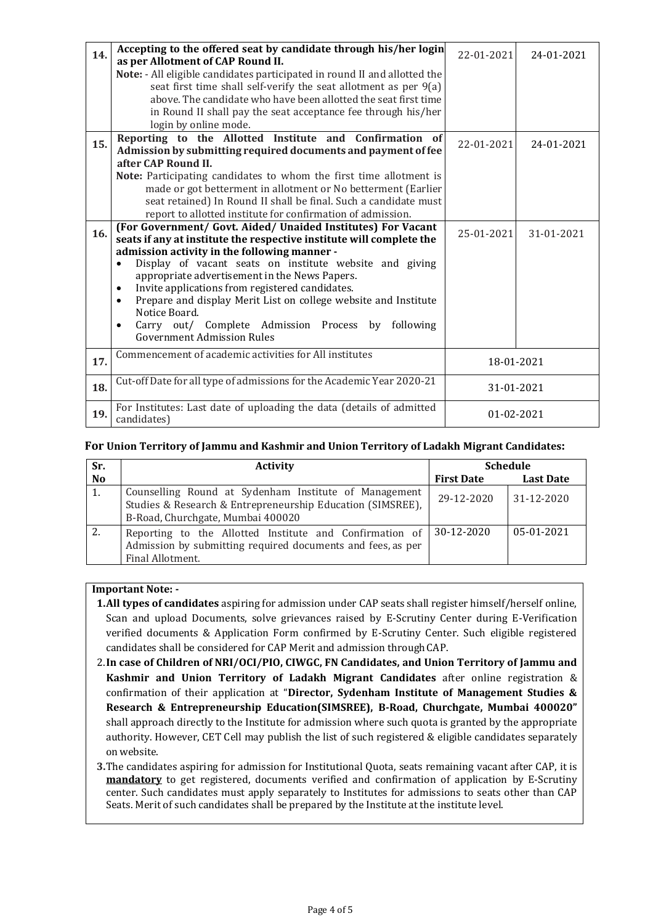|     | Accepting to the offered seat by candidate through his/her login             |                  |            |
|-----|------------------------------------------------------------------------------|------------------|------------|
| 14. | as per Allotment of CAP Round II.                                            | 22-01-2021       | 24-01-2021 |
|     | Note: - All eligible candidates participated in round II and allotted the    |                  |            |
|     | seat first time shall self-verify the seat allotment as per 9(a)             |                  |            |
|     | above. The candidate who have been allotted the seat first time              |                  |            |
|     | in Round II shall pay the seat acceptance fee through his/her                |                  |            |
|     | login by online mode.                                                        |                  |            |
|     | Reporting to the Allotted Institute and Confirmation of                      |                  |            |
| 15. | Admission by submitting required documents and payment of fee                | 22-01-2021       | 24-01-2021 |
|     | after CAP Round II.                                                          |                  |            |
|     | Note: Participating candidates to whom the first time allotment is           |                  |            |
|     | made or got betterment in allotment or No betterment (Earlier                |                  |            |
|     | seat retained) In Round II shall be final. Such a candidate must             |                  |            |
|     | report to allotted institute for confirmation of admission.                  |                  |            |
|     | (For Government/ Govt. Aided/ Unaided Institutes) For Vacant                 |                  |            |
| 16. | seats if any at institute the respective institute will complete the         | 25-01-2021       | 31-01-2021 |
|     | admission activity in the following manner -                                 |                  |            |
|     | Display of vacant seats on institute website and giving                      |                  |            |
|     | appropriate advertisement in the News Papers.                                |                  |            |
|     | Invite applications from registered candidates.<br>$\bullet$                 |                  |            |
|     | Prepare and display Merit List on college website and Institute<br>$\bullet$ |                  |            |
|     | Notice Board.                                                                |                  |            |
|     | Carry out/ Complete Admission Process by<br>following                        |                  |            |
|     | <b>Government Admission Rules</b>                                            |                  |            |
| 17. | Commencement of academic activities for All institutes                       | 18-01-2021       |            |
|     |                                                                              |                  |            |
| 18. | Cut-off Date for all type of admissions for the Academic Year 2020-21        | 31-01-2021       |            |
|     | For Institutes: Last date of uploading the data (details of admitted         |                  |            |
| 19. | candidates)                                                                  | $01 - 02 - 2021$ |            |

# **For Union Territory of Jammu and Kashmir and Union Territory of Ladakh Migrant Candidates:**

| Sr.       | <b>Activity</b>                                                                                                                                          | <b>Schedule</b>   |                  |
|-----------|----------------------------------------------------------------------------------------------------------------------------------------------------------|-------------------|------------------|
| <b>No</b> |                                                                                                                                                          | <b>First Date</b> | <b>Last Date</b> |
| 1.        | Counselling Round at Sydenham Institute of Management<br>Studies & Research & Entrepreneurship Education (SIMSREE),<br>B-Road, Churchgate, Mumbai 400020 | 29-12-2020        | 31-12-2020       |
| 2.        | Reporting to the Allotted Institute and Confirmation of<br>Admission by submitting required documents and fees, as per<br>Final Allotment.               | 30-12-2020        | 05-01-2021       |

# **Important Note: -**

- **1.All types of candidates** aspiring for admission under CAP seats shall register himself/herself online, Scan and upload Documents, solve grievances raised by E-Scrutiny Center during E-Verification verified documents & Application Form confirmed by E-Scrutiny Center. Such eligible registered candidates shall be considered for CAP Merit and admission through CAP.
- 2.**In case of Children of NRI/OCI/PIO, CIWGC, FN Candidates, and Union Territory of Jammu and Kashmir and Union Territory of Ladakh Migrant Candidates** after online registration & confirmation of their application at "**Director, Sydenham Institute of Management Studies & Research & Entrepreneurship Education(SIMSREE), B-Road, Churchgate, Mumbai 400020"** shall approach directly to the Institute for admission where such quota is granted by the appropriate authority. However, CET Cell may publish the list of such registered & eligible candidates separately onwebsite.
- **3.**The candidates aspiring for admission for Institutional Quota, seats remaining vacant after CAP, it is **mandatory** to get registered, documents verified and confirmation of application by E-Scrutiny center. Such candidates must apply separately to Institutes for admissions to seats other than CAP Seats. Merit of such candidates shall be prepared by the Institute at the institute level.